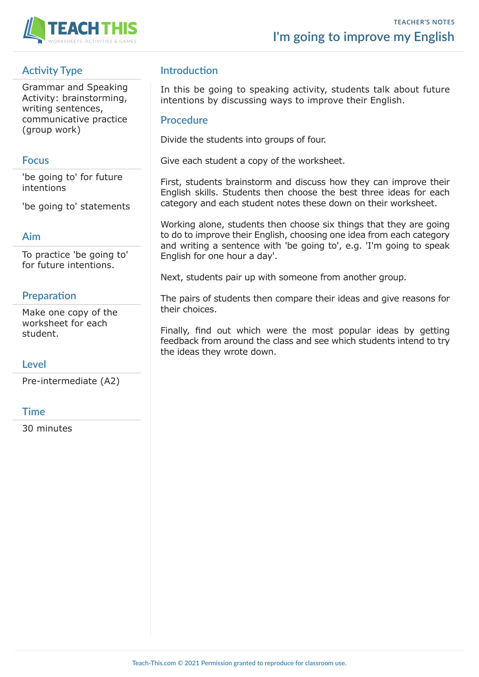

# **Activity Type**

Grammar and Speaking Activity: brainstorming, writing sentences, communicative practice (group work)

#### **Focus**

'be going to' for future intentions

'be going to' statements

#### **Aim**

To practice 'be going to' for future intentions.

## **Preparation**

Make one copy of the worksheet for each student.

#### **Level**

Pre-intermediate (A2)

#### **Time**

30 minutes

### **Introduction**

In this be going to speaking activity, students talk about future intentions by discussing ways to improve their English.

#### **Procedure**

Divide the students into groups of four.

Give each student a copy of the worksheet.

First, students brainstorm and discuss how they can improve their English skills. Students then choose the best three ideas for each category and each student notes these down on their worksheet.

Working alone, students then choose six things that they are going to do to improve their English, choosing one idea from each category and writing a sentence with 'be going to', e.g. 'I'm going to speak English for one hour a day'.

Next, students pair up with someone from another group.

The pairs of students then compare their ideas and give reasons for their choices.

Finally, find out which were the most popular ideas by getting feedback from around the class and see which students intend to try the ideas they wrote down.